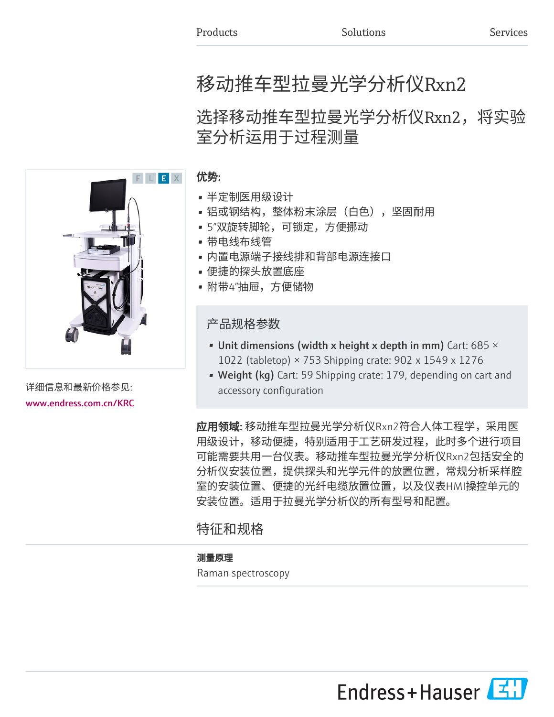# 移动推车型拉曼光学分析仪Rxn2

## 选择移动推车型拉曼光学分析仪Rxn2,将实验 室分析运用于过程测量



详细信息和最新价格参见: [www.endress.com.cn/KRC](https://www.endress.com.cn/KRC)

#### 优势:

- 半定制医用级设计
- 铝或钢结构,整体粉末涂层(白色),坚固耐用
- 5"双旋转脚轮,可锁定,方便挪动
- 带电线布线管
- 内置电源端子接线排和背部电源连接口
- 便捷的探头放置底座
- 附带4"抽屉,方便储物

产品规格参数

- Unit dimensions (width x height x depth in mm) Cart: 685  $\times$ 1022 (tabletop) × 753 Shipping crate: 902 x 1549 x 1276
- Weight (kg) Cart: 59 Shipping crate: 179, depending on cart and accessory configuration

**应用领域:** 移动推车型拉曼光学分析仪Rxn2符合人体工程学,采用医 用级设计,移动便捷,特别适用于工艺研发过程,此时多个进行项目 可能需要共用一台仪表。移动推车型拉曼光学分析仪Rxn2包括安全的 分析仪安装位置,提供探头和光学元件的放置位置,常规分析采样腔 室的安装位置、便捷的光纤电缆放置位置,以及仪表HMI操控单元的 安装位置。适用于拉曼光学分析仪的所有型号和配置。

### 特征和规格

#### 测量原理

Raman spectroscopy